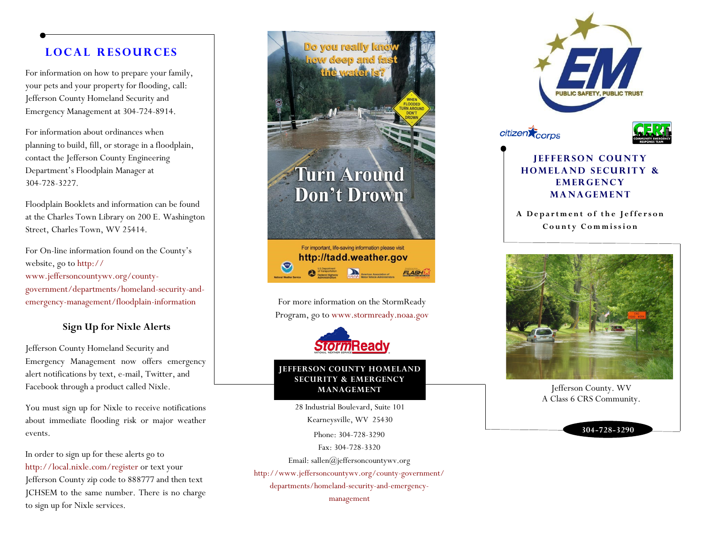## **L o c a l R e s o u r c e s**

For information on how to prepare your family, your pets and your property for flooding, call: Jefferson County Homeland Security and Emergency Management at 304-724-8914.

For information about ordinances when planning to build, fill, or storage in a floodplain, contact the Jefferson County Engineering Department's Floodplain Manager at 304-728-3227.

Floodplain Booklets and information can be found at the Charles Town Library on 200 E. Washington Street, Charles Town, WV 25414.

For On-line information found on the County's website, go to http:// www.jeffersoncountywv.org/countygovernment/departments/homeland-security-andemergency-management/floodplain-information

### **Sign Up for Nixle Alerts**

Jefferson County Homeland Security and Emergency Management now offers emergency alert notifications by text, e-mail, Twitter, and Facebook through a product called Nixle.

You must sign up for Nixle to receive notifications about immediate flooding risk or major weather events.

In order to sign up for these alerts go to <http://local.nixle.com/register> or text your Jefferson County zip code to 888777 and then text JCHSEM to the same number. There is no charge to sign up for Nixle services.



Program, go to www.stormready.noaa.gov



#### **JEFFERSON COUNTY HOMELAND SECURITY & EMERGENCY MANAGEMENT**

28 Industrial Boulevard, Suite 101 Kearneysville, WV 25430

Phone: 304-728-3290

Fax: 304-728-3320

Email: sallen@jeffersoncountywv.org

http://www.jeffersoncountywv.org/county-government/

departments/homeland-security-and-emergency-

management



### **JEFFERSON COUNTY HOMELAND SECURITY & EMERGENCY MANAGEMENT**

A Department of the Jefferson **C o u n t y C o m m i s s i o n**



Jefferson County. WV A Class 6 CRS Community.

**304-728-3290**